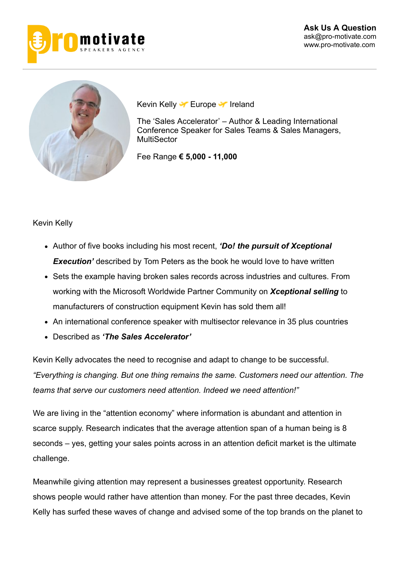



Kevin Kelly **T** Europe T Ireland

The 'Sales Accelerator' – Author & Leading International Conference Speaker for Sales Teams & Sales Managers, **MultiSector** 

Fee Range **€ 5,000 11,000**

#### Kevin Kelly

- Author of five books including his most recent, *'Do! the pursuit of Xceptional* **Execution'** described by Tom Peters as the book he would love to have written
- Sets the example having broken sales records across industries and cultures. From working with the Microsoft Worldwide Partner Community on *Xceptional selling* to manufacturers of construction equipment Kevin has sold them all!
- An international conference speaker with multisector relevance in 35 plus countries
- Described as *'The Sales Accelerator'*

Kevin Kelly advocates the need to recognise and adapt to change to be successful. *"Everything is changing. But one thing remains the same. Customers need our attention. The teams that serve our customers need attention. Indeed we need attention!"*

We are living in the "attention economy" where information is abundant and attention in scarce supply. Research indicates that the average attention span of a human being is 8 seconds – yes, getting your sales points across in an attention deficit market is the ultimate challenge.

Meanwhile giving attention may represent a businesses greatest opportunity. Research shows people would rather have attention than money. For the past three decades, Kevin Kelly has surfed these waves of change and advised some of the top brands on the planet to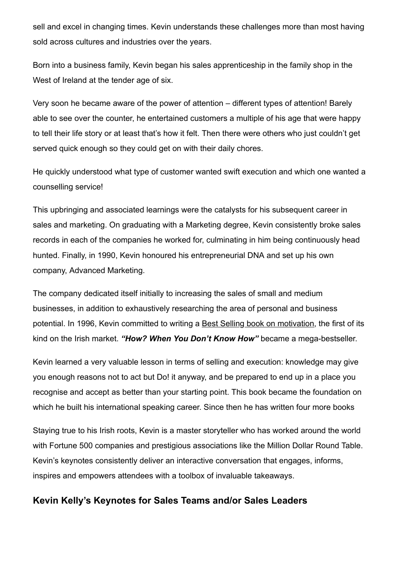sell and excel in changing times. Kevin understands these challenges more than most having sold across cultures and industries over the years.

Born into a business family, Kevin began his sales apprenticeship in the family shop in the West of Ireland at the tender age of six.

Very soon he became aware of the power of attention – different types of attention! Barely able to see over the counter, he entertained customers a multiple of his age that were happy to tell their life story or at least that's how it felt. Then there were others who just couldn't get served quick enough so they could get on with their daily chores.

He quickly understood what type of customer wanted swift execution and which one wanted a counselling service!

This upbringing and associated learnings were the catalysts for his subsequent career in sales and marketing. On graduating with a Marketing degree, Kevin consistently broke sales records in each of the companies he worked for, culminating in him being continuously head hunted. Finally, in 1990, Kevin honoured his entrepreneurial DNA and set up his own company, Advanced Marketing.

The company dedicated itself initially to increasing the sales of small and medium businesses, in addition to exhaustively researching the area of personal and business potential. In 1996, Kevin committed to writing a Best Selling book on motivation, the first of its kind on the Irish market. "How? When You Don't Know How" became a mega-bestseller.

Kevin learned a very valuable lesson in terms of selling and execution: knowledge may give you enough reasons not to act but Do! it anyway, and be prepared to end up in a place you recognise and accept as better than your starting point. This book became the foundation on which he built his international speaking career. Since then he has written four more books

Staying true to his Irish roots, Kevin is a master storyteller who has worked around the world with Fortune 500 companies and prestigious associations like the Million Dollar Round Table. Kevin's keynotes consistently deliver an interactive conversation that engages, informs, inspires and empowers attendees with a toolbox of invaluable takeaways.

## **Kevin Kelly's Keynotes for Sales Teams and/or Sales Leaders**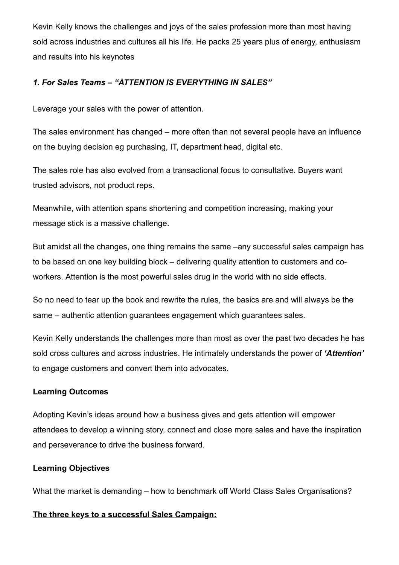Kevin Kelly knows the challenges and joys of the sales profession more than most having sold across industries and cultures all his life. He packs 25 years plus of energy, enthusiasm and results into his keynotes

## *1. For Sales Teams – "ATTENTION IS EVERYTHING IN SALES"*

Leverage your sales with the power of attention.

The sales environment has changed – more often than not several people have an influence on the buying decision eg purchasing, IT, department head, digital etc.

The sales role has also evolved from a transactional focus to consultative. Buyers want trusted advisors, not product reps.

Meanwhile, with attention spans shortening and competition increasing, making your message stick is a massive challenge.

But amidst all the changes, one thing remains the same –any successful sales campaign has to be based on one key building block – delivering quality attention to customers and coworkers. Attention is the most powerful sales drug in the world with no side effects.

So no need to tear up the book and rewrite the rules, the basics are and will always be the same – authentic attention guarantees engagement which guarantees sales.

Kevin Kelly understands the challenges more than most as over the past two decades he has sold cross cultures and across industries. He intimately understands the power of *'Attention'* to engage customers and convert them into advocates.

### **Learning Outcomes**

Adopting Kevin's ideas around how a business gives and gets attention will empower attendees to develop a winning story, connect and close more sales and have the inspiration and perseverance to drive the business forward.

### **Learning Objectives**

What the market is demanding – how to benchmark off World Class Sales Organisations?

### **The three keys to a successful Sales Campaign:**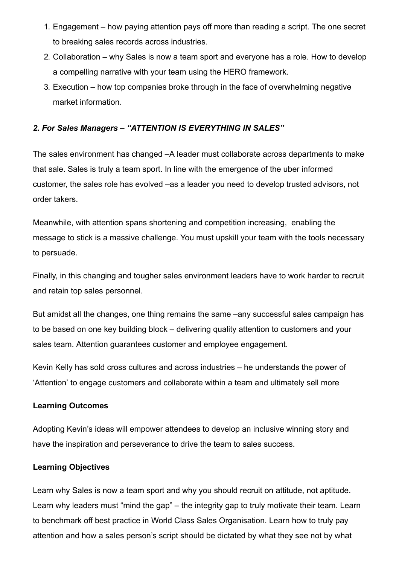- 1. Engagement how paying attention pays off more than reading a script. The one secret to breaking sales records across industries.
- 2. Collaboration why Sales is now a team sport and everyone has a role. How to develop a compelling narrative with your team using the HERO framework.
- 3. Execution how top companies broke through in the face of overwhelming negative market information.

#### *2. For Sales Managers – "ATTENTION IS EVERYTHING IN SALES"*

The sales environment has changed –A leader must collaborate across departments to make that sale. Sales is truly a team sport. In line with the emergence of the uber informed customer, the sales role has evolved –as a leader you need to develop trusted advisors, not order takers.

Meanwhile, with attention spans shortening and competition increasing, enabling the message to stick is a massive challenge. You must upskill your team with the tools necessary to persuade.

Finally, in this changing and tougher sales environment leaders have to work harder to recruit and retain top sales personnel.

But amidst all the changes, one thing remains the same –any successful sales campaign has to be based on one key building block – delivering quality attention to customers and your sales team. Attention guarantees customer and employee engagement.

Kevin Kelly has sold cross cultures and across industries – he understands the power of 'Attention' to engage customers and collaborate within a team and ultimately sell more

#### **Learning Outcomes**

Adopting Kevin's ideas will empower attendees to develop an inclusive winning story and have the inspiration and perseverance to drive the team to sales success.

#### **Learning Objectives**

Learn why Sales is now a team sport and why you should recruit on attitude, not aptitude. Learn why leaders must "mind the gap" – the integrity gap to truly motivate their team. Learn to benchmark off best practice in World Class Sales Organisation. Learn how to truly pay attention and how a sales person's script should be dictated by what they see not by what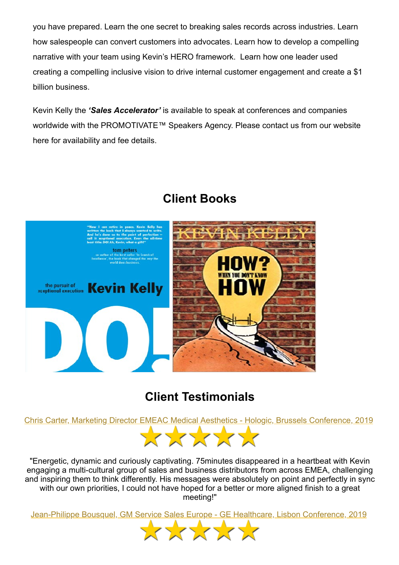you have prepared. Learn the one secret to breaking sales records across industries. Learn how salespeople can convert customers into advocates. Learn how to develop a compelling narrative with your team using Kevin's HERO framework. Learn how one leader used creating a compelling inclusive vision to drive internal customer engagement and create a \$1 billion business.

Kevin Kelly the *'Sales Accelerator'* is available to speak at conferences and companies worldwide with the PROMOTIVATE™ Speakers Agency. Please contact us from our website here for availability and fee details.



# **Client Books**

# **Client Testimonials**

Chris Carter, Marketing Director EMEAC Medical Aesthetics - Hologic, Brussels Conference, 2019



"Energetic, dynamic and curiously captivating. 75minutes disappeared in a heartbeat with Kevin engaging a multi-cultural group of sales and business distributors from across EMEA, challenging and inspiring them to think differently. His messages were absolutely on point and perfectly in sync with our own priorities, I could not have hoped for a better or more aligned finish to a great meeting!"

Jean-Philippe Bousquel, GM Service Sales Europe - GE Healthcare, Lisbon Conference, 2019